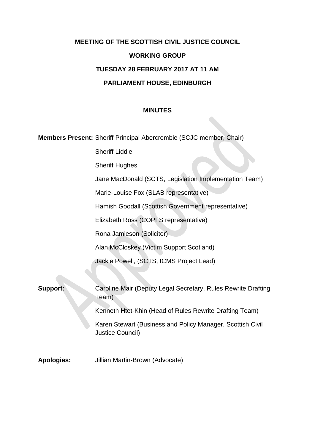# **MEETING OF THE SCOTTISH CIVIL JUSTICE COUNCIL**

# **WORKING GROUP**

# **TUESDAY 28 FEBRUARY 2017 AT 11 AM**

# **PARLIAMENT HOUSE, EDINBURGH**

#### **MINUTES**

**Members Present:** Sheriff Principal Abercrombie (SCJC member, Chair)

Sheriff Liddle

Sheriff Hughes

Jane MacDonald (SCTS, Legislation Implementation Team)

Marie-Louise Fox (SLAB representative)

Hamish Goodall (Scottish Government representative)

Elizabeth Ross (COPFS representative)

Rona Jamieson (Solicitor)

Alan McCloskey (Victim Support Scotland)

Jackie Powell, (SCTS, ICMS Project Lead)

**Support:** Caroline Mair (Deputy Legal Secretary, Rules Rewrite Drafting Team)

Kenneth Htet-Khin (Head of Rules Rewrite Drafting Team)

Karen Stewart (Business and Policy Manager, Scottish Civil Justice Council)

**Apologies:** Jillian Martin-Brown (Advocate)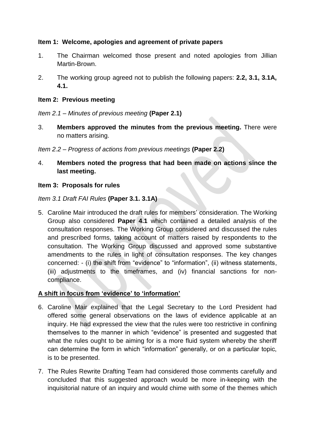# **Item 1: Welcome, apologies and agreement of private papers**

- 1. The Chairman welcomed those present and noted apologies from Jillian Martin-Brown.
- 2. The working group agreed not to publish the following papers: **2.2, 3.1, 3.1A, 4.1.**

#### **Item 2: Previous meeting**

*Item 2.1 – Minutes of previous meeting* **(Paper 2.1)**

3. **Members approved the minutes from the previous meeting.** There were no matters arising.

*Item 2.2 – Progress of actions from previous meetings* **(Paper 2.2)**

4. **Members noted the progress that had been made on actions since the last meeting.**

#### **Item 3: Proposals for rules**

*Item 3.1 Draft FAI Rules* **(Paper 3.1. 3.1A)**

5. Caroline Mair introduced the draft rules for members' consideration. The Working Group also considered **Paper 4.1** which contained a detailed analysis of the consultation responses. The Working Group considered and discussed the rules and prescribed forms, taking account of matters raised by respondents to the consultation. The Working Group discussed and approved some substantive amendments to the rules in light of consultation responses. The key changes concerned: - (i) the shift from "evidence" to "information", (ii) witness statements, (iii) adjustments to the timeframes, and (iv) financial sanctions for noncompliance.

# **A shift in focus from 'evidence' to 'information'**

- 6. Caroline Mair explained that the Legal Secretary to the Lord President had offered some general observations on the laws of evidence applicable at an inquiry. He had expressed the view that the rules were too restrictive in confining themselves to the manner in which "evidence" is presented and suggested that what the rules ought to be aiming for is a more fluid system whereby the sheriff can determine the form in which "information" generally, or on a particular topic, is to be presented.
- 7. The Rules Rewrite Drafting Team had considered those comments carefully and concluded that this suggested approach would be more in-keeping with the inquisitorial nature of an inquiry and would chime with some of the themes which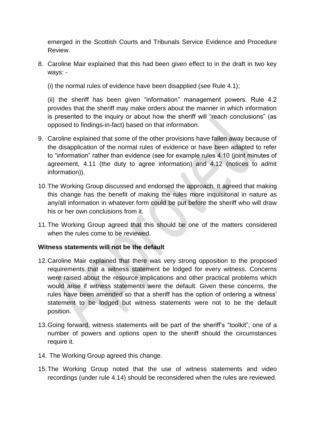emerged in the Scottish Courts and Tribunals Service Evidence and Procedure Review.

- 8. Caroline Mair explained that this had been given effect to in the draft in two key ways: -
	- (i) the normal rules of evidence have been disapplied (see Rule 4.1);

(ii) the sheriff has been given "information" management powers. Rule 4.2 provides that the sheriff may make orders about the manner in which information is presented to the inquiry or about how the sheriff will "reach conclusions" (as opposed to findings-in-fact) based on that information.

- 9. Caroline explained that some of the other provisions have fallen away because of the disapplication of the normal rules of evidence or have been adapted to refer to "information" rather than evidence (see for example rules 4.10 (joint minutes of agreement, 4.11 (the duty to agree information) and 4.12 (notices to admit information)).
- 10.The Working Group discussed and endorsed the approach. It agreed that making this change has the benefit of making the rules more inquisitorial in nature as any/all information in whatever form could be put before the sheriff who will draw his or her own conclusions from it.
- 11.The Working Group agreed that this should be one of the matters considered when the rules come to be reviewed.

# **Witness statements will not be the default**

- 12.Caroline Mair explained that there was very strong opposition to the proposed requirements that a witness statement be lodged for every witness. Concerns were raised about the resource implications and other practical problems which would arise if witness statements were the default. Given these concerns, the rules have been amended so that a sheriff has the option of ordering a witness' statement to be lodged but witness statements were not to be the default position.
- 13.Going forward, witness statements will be part of the sheriff's "toolkit"; one of a number of powers and options open to the sheriff should the circumstances require it.
- 14. The Working Group agreed this change.
- 15.The Working Group noted that the use of witness statements and video recordings (under rule 4.14) should be reconsidered when the rules are reviewed.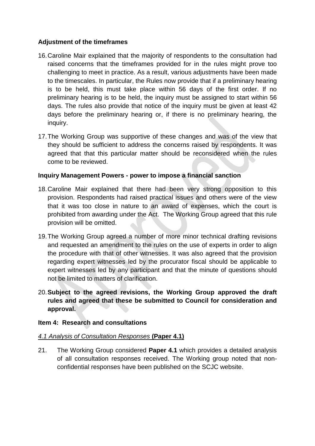# **Adjustment of the timeframes**

- 16.Caroline Mair explained that the majority of respondents to the consultation had raised concerns that the timeframes provided for in the rules might prove too challenging to meet in practice. As a result, various adjustments have been made to the timescales. In particular, the Rules now provide that if a preliminary hearing is to be held, this must take place within 56 days of the first order. If no preliminary hearing is to be held, the inquiry must be assigned to start within 56 days. The rules also provide that notice of the inquiry must be given at least 42 days before the preliminary hearing or, if there is no preliminary hearing, the inquiry.
- 17.The Working Group was supportive of these changes and was of the view that they should be sufficient to address the concerns raised by respondents. It was agreed that that this particular matter should be reconsidered when the rules come to be reviewed.

# **Inquiry Management Powers - power to impose a financial sanction**

- 18.Caroline Mair explained that there had been very strong opposition to this provision. Respondents had raised practical issues and others were of the view that it was too close in nature to an award of expenses, which the court is prohibited from awarding under the Act. The Working Group agreed that this rule provision will be omitted.
- 19.The Working Group agreed a number of more minor technical drafting revisions and requested an amendment to the rules on the use of experts in order to align the procedure with that of other witnesses. It was also agreed that the provision regarding expert witnesses led by the procurator fiscal should be applicable to expert witnesses led by any participant and that the minute of questions should not be limited to matters of clarification.
- 20.**Subject to the agreed revisions, the Working Group approved the draft rules and agreed that these be submitted to Council for consideration and approval.**

# **Item 4: Research and consultations**

# *4.1 Analysis of Consultation Responses* **(Paper 4.1)**

21. The Working Group considered **Paper 4.1** which provides a detailed analysis of all consultation responses received. The Working group noted that nonconfidential responses have been published on the SCJC website.